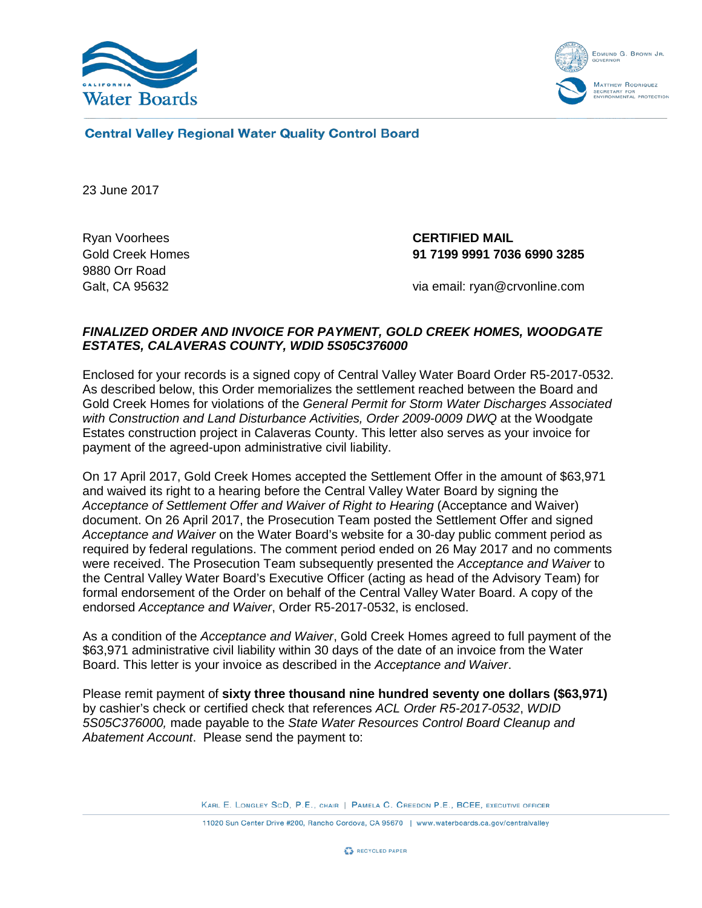



**Central Valley Regional Water Quality Control Board** 

23 June 2017

Ryan Voorhees **CERTIFIED MAIL** 9880 Orr Road

Gold Creek Homes **91 7199 9991 7036 6990 3285**

Galt, CA 95632 via email: ryan@crvonline.com

## *FINALIZED ORDER AND INVOICE FOR PAYMENT, GOLD CREEK HOMES, WOODGATE ESTATES, CALAVERAS COUNTY, WDID 5S05C376000*

Enclosed for your records is a signed copy of Central Valley Water Board Order R5-2017-0532. As described below, this Order memorializes the settlement reached between the Board and Gold Creek Homes for violations of the *General Permit for Storm Water Discharges Associated with Construction and Land Disturbance Activities, Order 2009-0009 DWQ* at the Woodgate Estates construction project in Calaveras County. This letter also serves as your invoice for payment of the agreed-upon administrative civil liability.

On 17 April 2017, Gold Creek Homes accepted the Settlement Offer in the amount of \$63,971 and waived its right to a hearing before the Central Valley Water Board by signing the *Acceptance of Settlement Offer and Waiver of Right to Hearing* (Acceptance and Waiver) document. On 26 April 2017, the Prosecution Team posted the Settlement Offer and signed *Acceptance and Waiver* on the Water Board's website for a 30-day public comment period as required by federal regulations. The comment period ended on 26 May 2017 and no comments were received. The Prosecution Team subsequently presented the *Acceptance and Waiver* to the Central Valley Water Board's Executive Officer (acting as head of the Advisory Team) for formal endorsement of the Order on behalf of the Central Valley Water Board. A copy of the endorsed *Acceptance and Waiver*, Order R5-2017-0532, is enclosed.

As a condition of the *Acceptance and Waiver*, Gold Creek Homes agreed to full payment of the \$63,971 administrative civil liability within 30 days of the date of an invoice from the Water Board. This letter is your invoice as described in the *Acceptance and Waiver*.

Please remit payment of **sixty three thousand nine hundred seventy one dollars (\$63,971)** by cashier's check or certified check that references *ACL Order R5-2017-0532*, *WDID 5S05C376000,* made payable to the *State Water Resources Control Board Cleanup and Abatement Account*. Please send the payment to:

KARL E. LONGLEY SCD, P.E., CHAIR | PAMELA C. CREEDON P.E., BCEE, EXECUTIVE OFFICER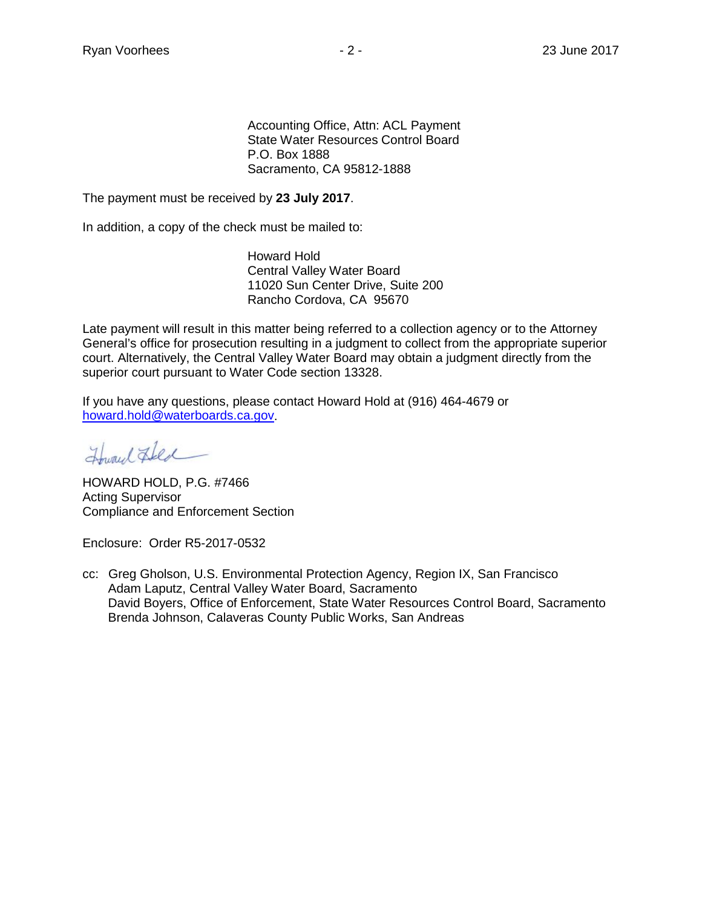Accounting Office, Attn: ACL Payment State Water Resources Control Board P.O. Box 1888 Sacramento, CA 95812-1888

The payment must be received by **23 July 2017**.

In addition, a copy of the check must be mailed to:

Howard Hold Central Valley Water Board 11020 Sun Center Drive, Suite 200 Rancho Cordova, CA 95670

Late payment will result in this matter being referred to a collection agency or to the Attorney General's office for prosecution resulting in a judgment to collect from the appropriate superior court. Alternatively, the Central Valley Water Board may obtain a judgment directly from the superior court pursuant to Water Code section 13328.

If you have any questions, please contact Howard Hold at (916) 464-4679 or [howard.hold@waterboards.ca.gov.](mailto:howard.hold@waterboards.ca.gov)

Howard Fled

HOWARD HOLD, P.G. #7466 Acting Supervisor Compliance and Enforcement Section

Enclosure: Order R5-2017-0532

cc: Greg Gholson, U.S. Environmental Protection Agency, Region IX, San Francisco Adam Laputz, Central Valley Water Board, Sacramento David Boyers, Office of Enforcement, State Water Resources Control Board, Sacramento Brenda Johnson, Calaveras County Public Works, San Andreas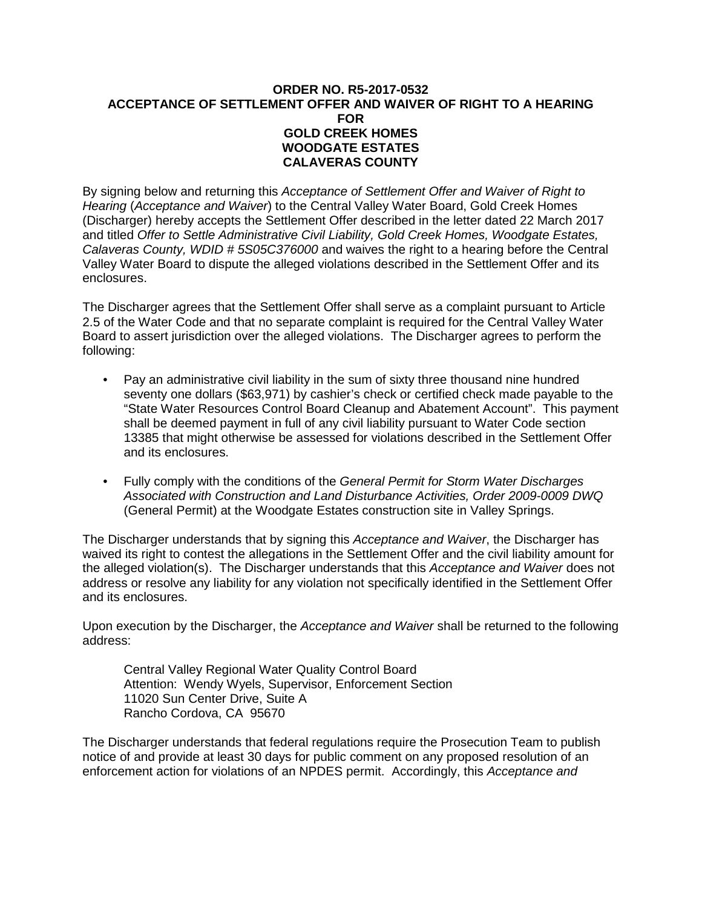## **ORDER NO. R5-2017-0532 ACCEPTANCE OF SETTLEMENT OFFER AND WAIVER OF RIGHT TO A HEARING FOR GOLD CREEK HOMES WOODGATE ESTATES CALAVERAS COUNTY**

By signing below and returning this *Acceptance of Settlement Offer and Waiver of Right to Hearing* (*Acceptance and Waiver*) to the Central Valley Water Board, Gold Creek Homes (Discharger) hereby accepts the Settlement Offer described in the letter dated 22 March 2017 and titled *Offer to Settle Administrative Civil Liability, Gold Creek Homes, Woodgate Estates, Calaveras County, WDID # 5S05C376000* and waives the right to a hearing before the Central Valley Water Board to dispute the alleged violations described in the Settlement Offer and its enclosures.

The Discharger agrees that the Settlement Offer shall serve as a complaint pursuant to Article 2.5 of the Water Code and that no separate complaint is required for the Central Valley Water Board to assert jurisdiction over the alleged violations. The Discharger agrees to perform the following:

- Pay an administrative civil liability in the sum of sixty three thousand nine hundred seventy one dollars (\$63,971) by cashier's check or certified check made payable to the "State Water Resources Control Board Cleanup and Abatement Account". This payment shall be deemed payment in full of any civil liability pursuant to Water Code section 13385 that might otherwise be assessed for violations described in the Settlement Offer and its enclosures.
- Fully comply with the conditions of the *General Permit for Storm Water Discharges Associated with Construction and Land Disturbance Activities, Order 2009-0009 DWQ* (General Permit) at the Woodgate Estates construction site in Valley Springs.

The Discharger understands that by signing this *Acceptance and Waiver*, the Discharger has waived its right to contest the allegations in the Settlement Offer and the civil liability amount for the alleged violation(s). The Discharger understands that this *Acceptance and Waiver* does not address or resolve any liability for any violation not specifically identified in the Settlement Offer and its enclosures.

Upon execution by the Discharger, the *Acceptance and Waiver* shall be returned to the following address:

Central Valley Regional Water Quality Control Board Attention: Wendy Wyels, Supervisor, Enforcement Section 11020 Sun Center Drive, Suite A Rancho Cordova, CA 95670

The Discharger understands that federal regulations require the Prosecution Team to publish notice of and provide at least 30 days for public comment on any proposed resolution of an enforcement action for violations of an NPDES permit. Accordingly, this *Acceptance and*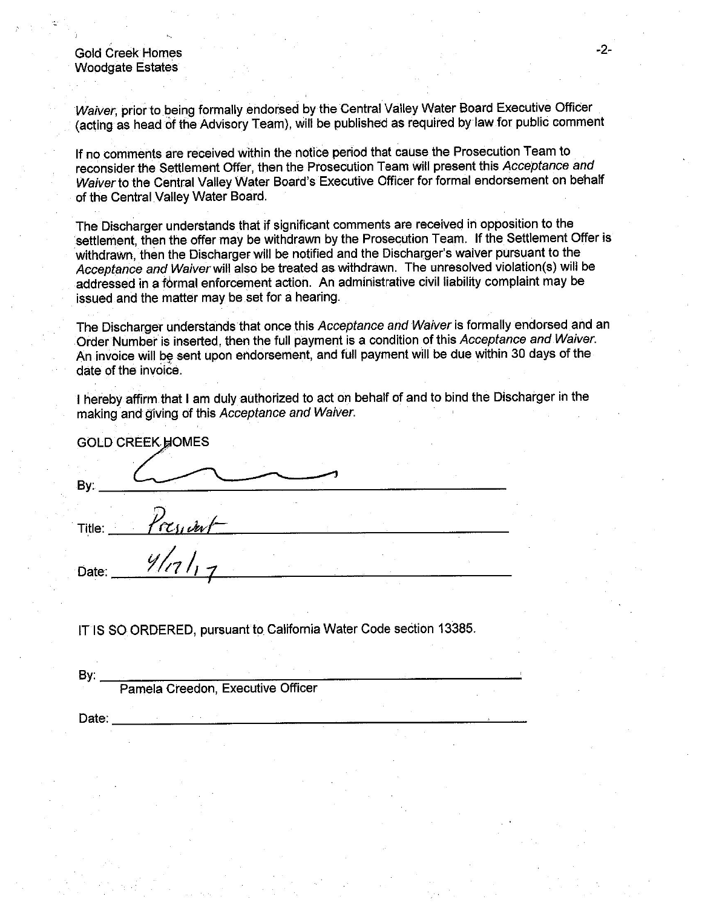**Gold Creek Homes Woodgate Estates** 

Waiver, prior to being formally endorsed by the Central Valley Water Board Executive Officer (acting as head of the Advisory Team), will be published as required by law for public comment

If no comments are received within the notice period that cause the Prosecution Team to reconsider the Settlement Offer, then the Prosecution Team will present this Acceptance and Waiver to the Central Valley Water Board's Executive Officer for formal endorsement on behalf of the Central Valley Water Board.

The Discharger understands that if significant comments are received in opposition to the settlement, then the offer may be withdrawn by the Prosecution Team. If the Settlement Offer is withdrawn, then the Discharger will be notified and the Discharger's waiver pursuant to the Acceptance and Waiver will also be treated as withdrawn. The unresolved violation(s) will be addressed in a formal enforcement action. An administrative civil liability complaint may be issued and the matter may be set for a hearing.

The Discharger understands that once this Acceptance and Waiver is formally endorsed and an Order Number is inserted, then the full payment is a condition of this Acceptance and Waiver. An invoice will be sent upon endorsement, and full payment will be due within 30 days of the date of the invoice.

I hereby affirm that I am duly authorized to act on behalf of and to bind the Discharger in the making and giving of this Acceptance and Waiver.

| By:                |  |  |
|--------------------|--|--|
|                    |  |  |
| resident<br>Title: |  |  |
| $4lnl_1$<br>Date:  |  |  |

IT IS SO ORDERED, pursuant to California Water Code section 13385.

By: Pamela Creedon, Executive Officer

Date: